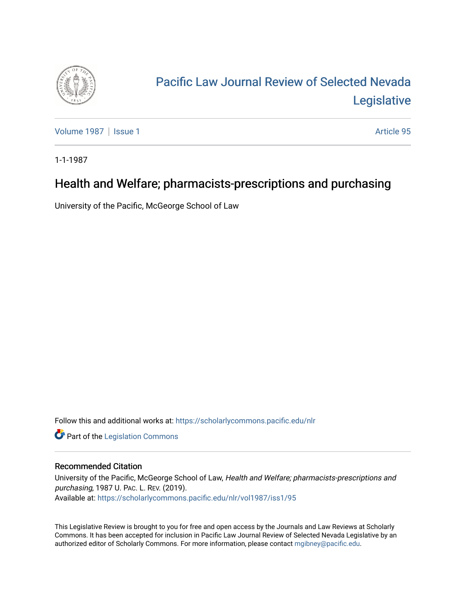

# [Pacific Law Journal Review of Selected Nevada](https://scholarlycommons.pacific.edu/nlr)  [Legislative](https://scholarlycommons.pacific.edu/nlr)

[Volume 1987](https://scholarlycommons.pacific.edu/nlr/vol1987) | [Issue 1](https://scholarlycommons.pacific.edu/nlr/vol1987/iss1) Article 95

1-1-1987

## Health and Welfare; pharmacists-prescriptions and purchasing

University of the Pacific, McGeorge School of Law

Follow this and additional works at: [https://scholarlycommons.pacific.edu/nlr](https://scholarlycommons.pacific.edu/nlr?utm_source=scholarlycommons.pacific.edu%2Fnlr%2Fvol1987%2Fiss1%2F95&utm_medium=PDF&utm_campaign=PDFCoverPages) 

**Part of the [Legislation Commons](http://network.bepress.com/hgg/discipline/859?utm_source=scholarlycommons.pacific.edu%2Fnlr%2Fvol1987%2Fiss1%2F95&utm_medium=PDF&utm_campaign=PDFCoverPages)** 

#### Recommended Citation

University of the Pacific, McGeorge School of Law, Health and Welfare; pharmacists-prescriptions and purchasing, 1987 U. PAC. L. REV. (2019). Available at: [https://scholarlycommons.pacific.edu/nlr/vol1987/iss1/95](https://scholarlycommons.pacific.edu/nlr/vol1987/iss1/95?utm_source=scholarlycommons.pacific.edu%2Fnlr%2Fvol1987%2Fiss1%2F95&utm_medium=PDF&utm_campaign=PDFCoverPages)

This Legislative Review is brought to you for free and open access by the Journals and Law Reviews at Scholarly Commons. It has been accepted for inclusion in Pacific Law Journal Review of Selected Nevada Legislative by an authorized editor of Scholarly Commons. For more information, please contact [mgibney@pacific.edu](mailto:mgibney@pacific.edu).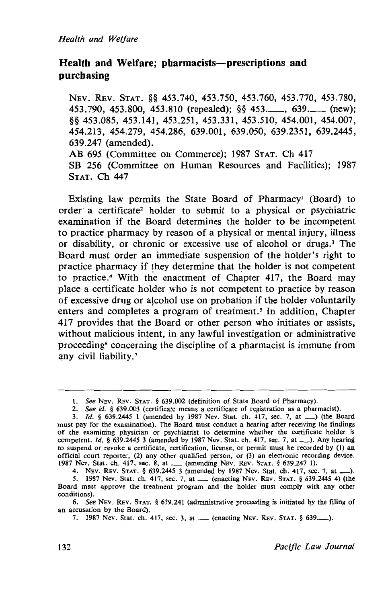#### *Health and Welfare*

### **Health and Welfare; pharmacists-prescriptions and purchasing**

NEv. REv. STAT. §§ 453.740, 453.750, 453.760, 453.770, 453.780, 453.790, 453.800, 453.810 (repealed); §§ 453. ..., 639. .... (new); §§ 453.085, 453.141, 453.251, 453.331, 453.510, 454.001, 454.007, 454.213, 454.279, 454.286, 639.001, 639.050, 639.2351, 639.2445, 639.247 (amended). AB 695 (Committee on Commerce); 1987 STAT. Ch 417 SB 256 (Committee on Human Resources and Facilities); 1987 STAT. Ch 447

Existing law permits the State Board of Pharmacy' (Board) to order a certificate<sup>2</sup> holder to submit to a physical or psychiatric examination if the Board determines the holder to be incompetent to practice pharmacy by reason of a physical or mental injury, illness or disability, or chronic or excessive use of alcohol or drugs.<sup>3</sup> The Board must order an immediate suspension of the holder's right to practice pharmacy if they determine that the holder is not competent to practice.<sup>4</sup> With the enactment of Chapter 417, the Board may place a certificate holder who is not competent to practice by reason of excessive drug or alcohol use on probation if the holder voluntarily enters and completes a program of treatment.<sup>5</sup> In addition, Chapter 417 provides that the Board or other person who initiates or assists, without malicious intent, in any lawful investigation or administrative proceeding; concerning the discipline of a pharmacist is immune from any civil liability.<sup>7</sup>

<sup>1.</sup> *See* NEv. REv. STAT. § 639.002 (definition of State Board of Pharmacy).

<sup>2.</sup> *See id.* § 639.003 (certificate means a certificate of registration as a pharmacist).

<sup>3.</sup> *Id.* § 639.2445 1 (amended by 1987 Nev. Stat. ch. 417, sec. 7, at  $\Box$ ) (the Board must pay for the examination). The Board must conduct a hearing after receiving the findings of the examining physician or psychiatrist to determine whether the certificate holder is competent. Id. § 639.2445 3 (amended by 1987 Nev. Stat. ch. 417, sec. 7, at  $\_\_$ ). Any hearing to suspend or revoke a certificate, certification, license, or permit must be recorded by (1) an official court reporter, (2) any other qualified person, or (3) an electronic recording device. official court reporter, (2) any other qualified person, or (3) an electronic record 1987 Nev. Stat. ch. 417, sec. 8, at  $\frac{1}{2}$  (amending NEv. REv. STAT. § 639.247 1).

<sup>4.</sup> Nev. Rev. Stat. 6. 41, Sec. 6, at 2. (amending Nev. Rev. Stat. 8 639.247 1).

*S.* 1987 Nev. Stat. ch. 417, sec. 7, at\_ (enacting NEV. REv. STAT. § 639.2445 4) (the Board must approve the treatment program and the holder must comply with any other conditions).

<sup>6.</sup> *See* NEv. REv. STAT. § 639.241 (administrative proceeding is initiated by the filing of an accusation by the Board).

<sup>7. 1987</sup> Nev. Stat. ch. 417, sec. 3, at \_\_\_ (enacting NEV. REV. STAT. § 639........).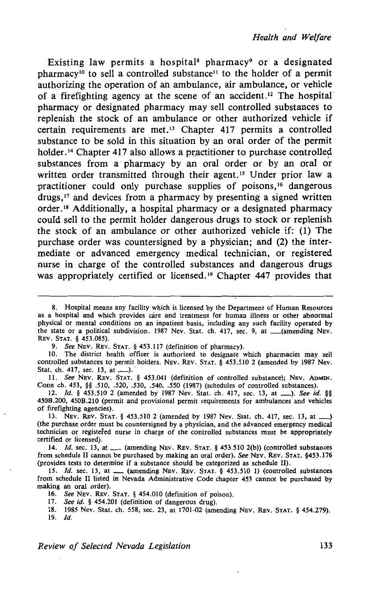Existing law permits a hospital<sup>8</sup> pharmacy<sup>9</sup> or a designated pharmacy<sup>10</sup> to sell a controlled substance<sup>11</sup> to the holder of a permit authorizing the operation of an ambulance, air ambulance, or vehicle of a firefighting agency at the scene of an accident.<sup>12</sup> The hospital pharmacy or designated pharmacy may sell controlled substances to replenish the stock of an ambulance or other authorized vehicle if certain requirements are met. 13 Chapter 417 permits a controlled substance to be sold in this situation by an oral order of the permit holder.<sup>14</sup> Chapter 417 also allows a practitioner to purchase controlled substances from a pharmacy by an oral order or by an oral or written order transmitted through their agent.<sup>15</sup> Under prior law a practitioner could only purchase supplies of poisons, 16 dangerous drugs, 17 and devices from a pharmacy by presenting a signed written order.<sup>18</sup> Additionally, a hospital pharmacy or a designated pharmacy could sell to the permit holder dangerous drugs to stock or replenish the stock of an ambulance or other authorized vehicle if: (1) The purchase order was countersigned by a physician; and (2) the intermediate or advanced emergency medical technician, or registered nurse in charge of the controlled substances and dangerous drugs was appropriately certified or licensed.<sup>19</sup> Chapter 447 provides that

The district health officer is authorized to designate which pharmacies may sell controlled substances to permit holders. NEv. REv. STAT. § 453.510 2 (amended by 1987 Nev. Stat. ch. 417, sec. 13, at \_\_\_.).

11. *See* NEv. REv. STAT. § 453.041 (definition of controlled substance); NEv. ADMIN. CooE ch. 453, §§ .510, .520, .530, .540, *.550* (1987) (schedules of controlled substances).

12. *Id.* § 453.510 2 (amended by 1987 Nev. Stat. ch. 417, sec. 13, at \_\_\_). See id. §§ 450B.200, 450B.210 (permit and provisional permit requirements for ambulances and vehicles of firefighting agencies).

13. NEV. REV. STAT. § 453.510 2 (amended by 1987 Nev. Stat. ch. 417, sec. 13, at \_\_\_) (the purchase order must be countersigned by a physician, and the advanced emergency medical technician or registered nurse in charge of the controlled substances must be appropriately certified or licensed).

14. *Id.* sec. 13, at \_\_\_ (amending NEV. REV. STAT. § 453.510 2(b)) (controlled substances from schedule II cannot be purchased by making an oral order). See NEv. REv. STAT. §453.176 (provides tests to determine if a substance should be categorized as schedule II).

15. *Id.* sec. 13, at \_\_\_ (amending NEV. REV. STAT. § 453.510 1) (controlled substances from· schedule II listed in Nevada Administrative Code chapter 453 cannot be purchased by making an oral order).

16. *See* NEv. REv. STAT. § 454.010 (definition of poison).

17. *See id.* § 454.201 (definition of dangerous drug).

18. 1985 Nev. Stat. ch. *558,* sec. 23, at 1701-02 (amending NEv. REv. STAT. § 454.279).  $19.$   $Id.$ 

<sup>8.</sup> Hospital means any facility which is licensed by the Department of Human Resources as a hospital and which provides care and treatment for human illness or other abnormal physical or mental conditions on an inpatient basis, including any such facility operated by the state or a political subdivision. 1987 Nev. Stat. ch. 417, sec. 9, at \_(amending NEV. REv. STAT. § 453.085).

<sup>9.</sup> *See NEV. REV. STAT.* § 453.117 (definition of pharmacy).<br>10. The district health officer is authorized to designate v